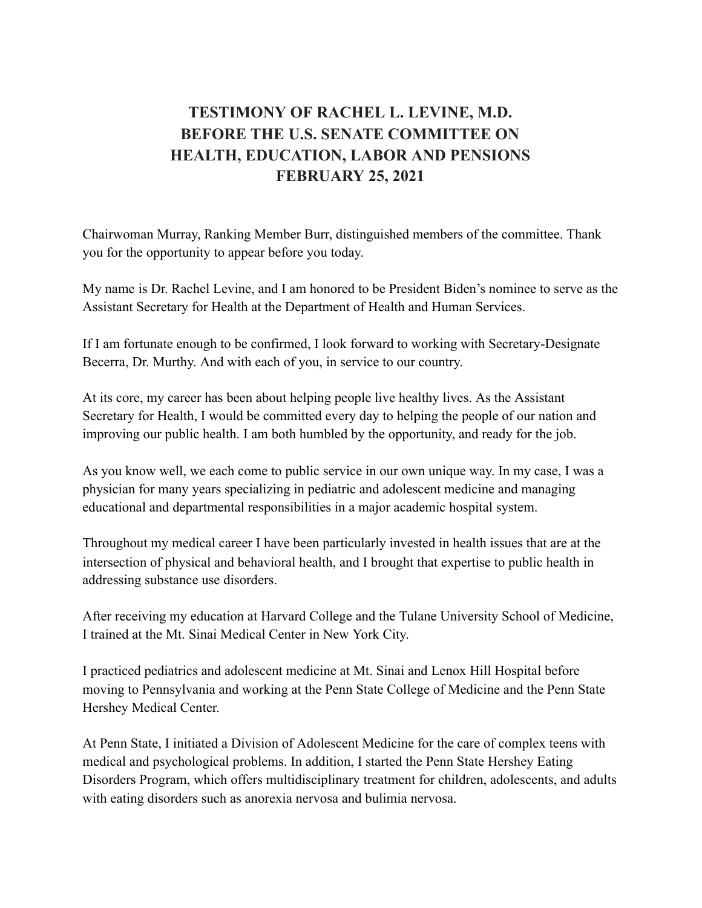## **TESTIMONY OF RACHEL L. LEVINE, M.D. BEFORE THE U.S. SENATE COMMITTEE ON HEALTH, EDUCATION, LABOR AND PENSIONS FEBRUARY 25, 2021**

Chairwoman Murray, Ranking Member Burr, distinguished members of the committee. Thank you for the opportunity to appear before you today.

My name is Dr. Rachel Levine, and I am honored to be President Biden's nominee to serve as the Assistant Secretary for Health at the Department of Health and Human Services.

If I am fortunate enough to be confirmed, I look forward to working with Secretary-Designate Becerra, Dr. Murthy. And with each of you, in service to our country.

At its core, my career has been about helping people live healthy lives. As the Assistant Secretary for Health, I would be committed every day to helping the people of our nation and improving our public health. I am both humbled by the opportunity, and ready for the job.

As you know well, we each come to public service in our own unique way. In my case, I was a physician for many years specializing in pediatric and adolescent medicine and managing educational and departmental responsibilities in a major academic hospital system.

Throughout my medical career I have been particularly invested in health issues that are at the intersection of physical and behavioral health, and I brought that expertise to public health in addressing substance use disorders.

After receiving my education at Harvard College and the Tulane University School of Medicine, I trained at the Mt. Sinai Medical Center in New York City.

I practiced pediatrics and adolescent medicine at Mt. Sinai and Lenox Hill Hospital before moving to Pennsylvania and working at the Penn State College of Medicine and the Penn State Hershey Medical Center.

At Penn State, I initiated a Division of Adolescent Medicine for the care of complex teens with medical and psychological problems. In addition, I started the Penn State Hershey Eating Disorders Program, which offers multidisciplinary treatment for children, adolescents, and adults with eating disorders such as anorexia nervosa and bulimia nervosa.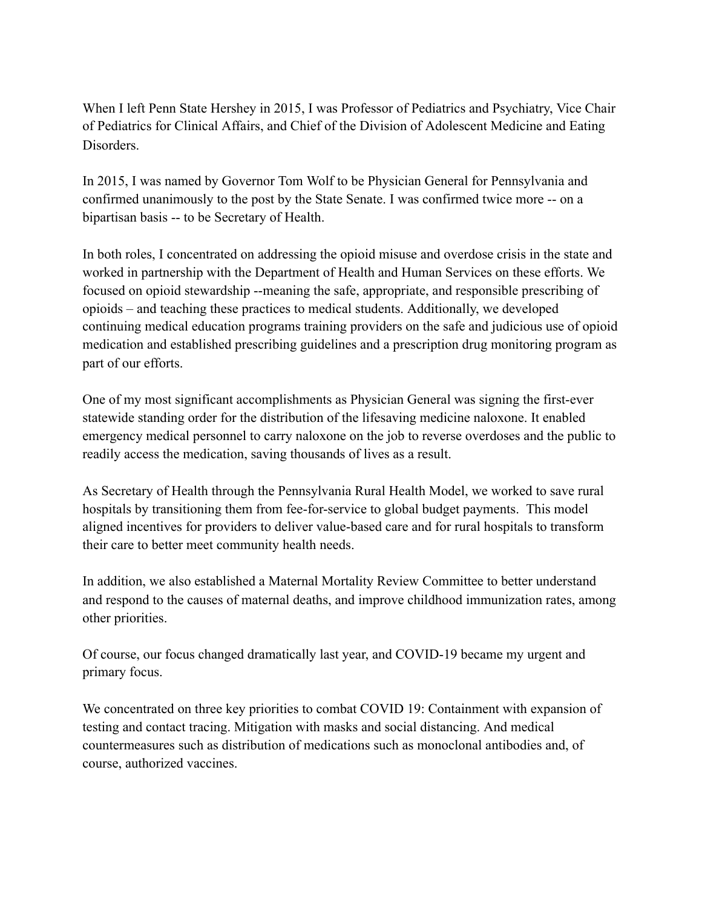When I left Penn State Hershey in 2015, I was Professor of Pediatrics and Psychiatry, Vice Chair of Pediatrics for Clinical Affairs, and Chief of the Division of Adolescent Medicine and Eating Disorders.

In 2015, I was named by Governor Tom Wolf to be Physician General for Pennsylvania and confirmed unanimously to the post by the State Senate. I was confirmed twice more -- on a bipartisan basis -- to be Secretary of Health.

In both roles, I concentrated on addressing the opioid misuse and overdose crisis in the state and worked in partnership with the Department of Health and Human Services on these efforts. We focused on opioid stewardship --meaning the safe, appropriate, and responsible prescribing of opioids – and teaching these practices to medical students. Additionally, we developed continuing medical education programs training providers on the safe and judicious use of opioid medication and established prescribing guidelines and a prescription drug monitoring program as part of our efforts.

One of my most significant accomplishments as Physician General was signing the first-ever statewide standing order for the distribution of the lifesaving medicine naloxone. It enabled emergency medical personnel to carry naloxone on the job to reverse overdoses and the public to readily access the medication, saving thousands of lives as a result.

As Secretary of Health through the Pennsylvania Rural Health Model, we worked to save rural hospitals by transitioning them from fee-for-service to global budget payments. This model aligned incentives for providers to deliver value-based care and for rural hospitals to transform their care to better meet community health needs.

In addition, we also established a Maternal Mortality Review Committee to better understand and respond to the causes of maternal deaths, and improve childhood immunization rates, among other priorities.

Of course, our focus changed dramatically last year, and COVID-19 became my urgent and primary focus.

We concentrated on three key priorities to combat COVID 19: Containment with expansion of testing and contact tracing. Mitigation with masks and social distancing. And medical countermeasures such as distribution of medications such as monoclonal antibodies and, of course, authorized vaccines.